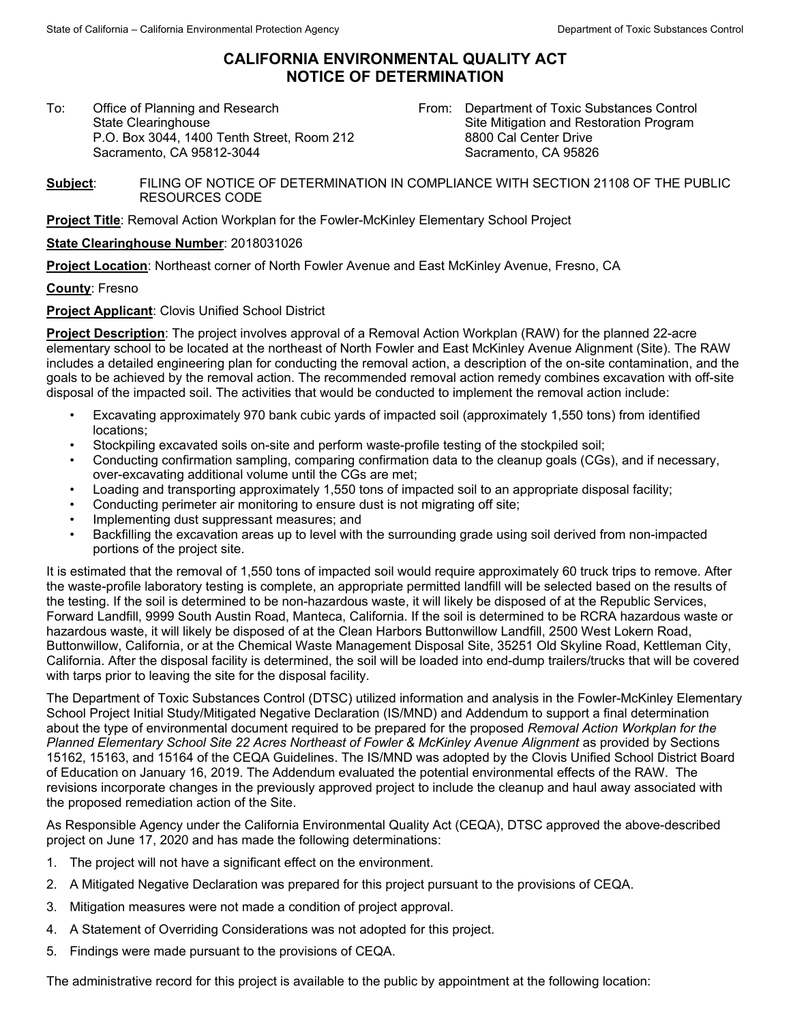## **CALIFORNIA ENVIRONMENTAL QUALITY ACT NOTICE OF DETERMINATION**

To:Office of Planning and Research State Clearinghouse P.O. Box 3044, 1400 Tenth Street, Room 212 Sacramento, CA 95812-3044

From: Department of Toxic Substances Control Site Mitigation and Restoration Program 8800 Cal Center Drive Sacramento, CA 95826

**Subject**: FILING OF NOTICE OF DETERMINATION IN COMPLIANCE WITH SECTION 21108 OF THE PUBLIC RESOURCES CODE

**Project Title**: Removal Action Workplan for the Fowler-McKinley Elementary School Project

## **State Clearinghouse Number**: 2018031026

**Project Location**: Northeast corner of North Fowler Avenue and East McKinley Avenue, Fresno, CA

**County**: Fresno

**Project Applicant**: Clovis Unified School District

**Project Description**: The project involves approval of a Removal Action Workplan (RAW) for the planned 22-acre elementary school to be located at the northeast of North Fowler and East McKinley Avenue Alignment (Site). The RAW includes a detailed engineering plan for conducting the removal action, a description of the on-site contamination, and the goals to be achieved by the removal action. The recommended removal action remedy combines excavation with off-site disposal of the impacted soil. The activities that would be conducted to implement the removal action include:

- Excavating approximately 970 bank cubic yards of impacted soil (approximately 1,550 tons) from identified locations;
- Stockpiling excavated soils on-site and perform waste-profile testing of the stockpiled soil;
- Conducting confirmation sampling, comparing confirmation data to the cleanup goals (CGs), and if necessary, over-excavating additional volume until the CGs are met;
- Loading and transporting approximately 1,550 tons of impacted soil to an appropriate disposal facility;
- Conducting perimeter air monitoring to ensure dust is not migrating off site;
- Implementing dust suppressant measures; and
- Backfilling the excavation areas up to level with the surrounding grade using soil derived from non-impacted portions of the project site.

It is estimated that the removal of 1,550 tons of impacted soil would require approximately 60 truck trips to remove. After the waste-profile laboratory testing is complete, an appropriate permitted landfill will be selected based on the results of the testing. If the soil is determined to be non-hazardous waste, it will likely be disposed of at the Republic Services, Forward Landfill, 9999 South Austin Road, Manteca, California. If the soil is determined to be RCRA hazardous waste or hazardous waste, it will likely be disposed of at the Clean Harbors Buttonwillow Landfill, 2500 West Lokern Road, Buttonwillow, California, or at the Chemical Waste Management Disposal Site, 35251 Old Skyline Road, Kettleman City, California. After the disposal facility is determined, the soil will be loaded into end-dump trailers/trucks that will be covered with tarps prior to leaving the site for the disposal facility.

The Department of Toxic Substances Control (DTSC) utilized information and analysis in the Fowler-McKinley Elementary School Project Initial Study/Mitigated Negative Declaration (IS/MND) and Addendum to support a final determination about the type of environmental document required to be prepared for the proposed *Removal Action Workplan for the Planned Elementary School Site 22 Acres Northeast of Fowler & McKinley Avenue Alignment* as provided by Sections 15162, 15163, and 15164 of the CEQA Guidelines. The IS/MND was adopted by the Clovis Unified School District Board of Education on January 16, 2019. The Addendum evaluated the potential environmental effects of the RAW. The revisions incorporate changes in the previously approved project to include the cleanup and haul away associated with the proposed remediation action of the Site.

As Responsible Agency under the California Environmental Quality Act (CEQA), DTSC approved the above-described project on June 17, 2020 and has made the following determinations:

- 1. The project will not have a significant effect on the environment.
- 2. A Mitigated Negative Declaration was prepared for this project pursuant to the provisions of CEQA.
- 3. Mitigation measures were not made a condition of project approval.
- 4. A Statement of Overriding Considerations was not adopted for this project.
- 5. Findings were made pursuant to the provisions of CEQA.

The administrative record for this project is available to the public by appointment at the following location: